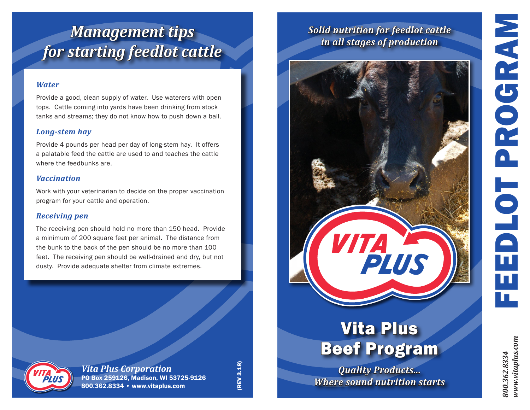# FEEDLOT PROGRAM PROGRAM 1010 π π

#### *Water*

Provide a good, clean supply of water. Use waterers with open tops. Cattle coming into yards have been drinking from stock tanks and streams; they do not know how to push down a ball.

#### *Long-stem hay*

Provide 4 pounds per head per day of long-stem hay. It offers a palatable feed the cattle are used to and teaches the cattle where the feedbunks are.

#### *Vaccination*

Work with your veterinarian to decide on the proper vaccination program for your cattle and operation.

#### *Receiving pen*

The receiving pen should hold no more than 150 head. Provide a minimum of 200 square feet per animal. The distance from the bunk to the back of the pen should be no more than 100 feet. The receiving pen should be well-drained and dry, but not dusty. Provide adequate shelter from climate extremes.



*Vita Plus Corporation* PO Box 259126, Madison, WI 53725-9126 800.362.8334 • www.vitaplus.com

(REV 3.18) **(REV 3.18)** 

### *Solid nutrition for feedlot cattle in all stages of production*



## Vita Plus Beef Program

*Quality Products... Where sound nutrition starts* *800.362.8334 www.vitaplus.com*